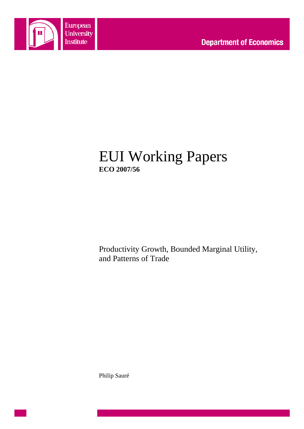

## EUI Working Papers **ECO 2007/56**

Productivity Growth, Bounded Marginal Utility, and Patterns of Trade

Philip Sauré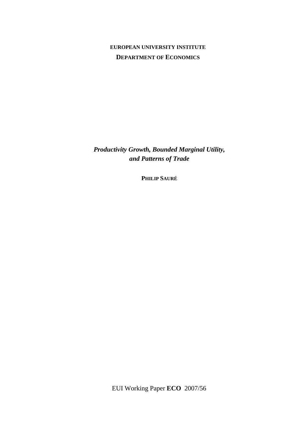## **EUROPEAN UNIVERSITY INSTITUTE DEPARTMENT OF ECONOMICS**

*Productivity Growth, Bounded Marginal Utility, and Patterns of Trade* 

**PHILIP SAURÉ**

EUI Working Paper **ECO** 2007/56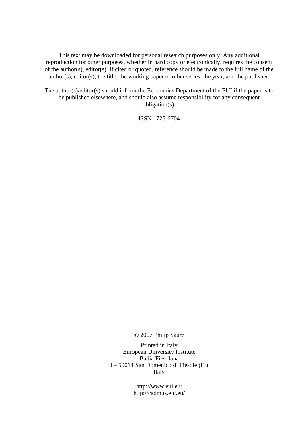This text may be downloaded for personal research purposes only. Any additional reproduction for other purposes, whether in hard copy or electronically, requires the consent of the author(s), editor(s). If cited or quoted, reference should be made to the full name of the author(s), editor(s), the title, the working paper or other series, the year, and the publisher.

The author(s)/editor(s) should inform the Economics Department of the EUI if the paper is to be published elsewhere, and should also assume responsibility for any consequent obligation(s).

ISSN 1725-6704

© 2007 Philip Sauré

Printed in Italy European University Institute Badia Fiesolana I – 50014 San Domenico di Fiesole (FI) Italy

> http://www.eui.eu/ http://cadmus.eui.eu/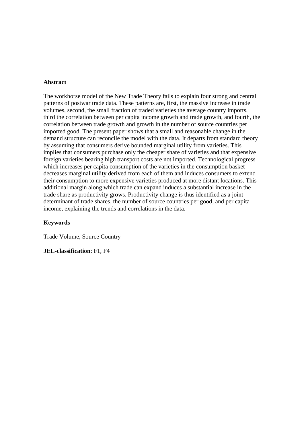#### **Abstract**

The workhorse model of the New Trade Theory fails to explain four strong and central patterns of postwar trade data. These patterns are, first, the massive increase in trade volumes, second, the small fraction of traded varieties the average country imports, third the correlation between per capita income growth and trade growth, and fourth, the correlation between trade growth and growth in the number of source countries per imported good. The present paper shows that a small and reasonable change in the demand structure can reconcile the model with the data. It departs from standard theory by assuming that consumers derive bounded marginal utility from varieties. This implies that consumers purchase only the cheaper share of varieties and that expensive foreign varieties bearing high transport costs are not imported. Technological progress which increases per capita consumption of the varieties in the consumption basket decreases marginal utility derived from each of them and induces consumers to extend their consumption to more expensive varieties produced at more distant locations. This additional margin along which trade can expand induces a substantial increase in the trade share as productivity grows. Productivity change is thus identified as a joint determinant of trade shares, the number of source countries per good, and per capita income, explaining the trends and correlations in the data.

#### **Keywords**

Trade Volume, Source Country

**JEL-classification**: F1, F4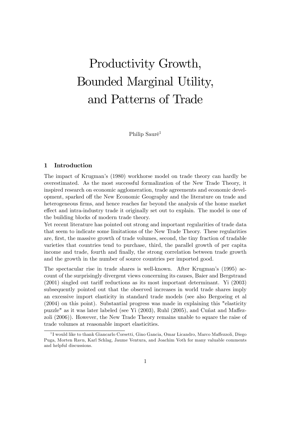# Productivity Growth, Bounded Marginal Utility, and Patterns of Trade

Philip Sauré<sup>1</sup>

#### 1 Introduction

The impact of Krugmanís (1980) workhorse model on trade theory can hardly be overestimated. As the most successful formalization of the New Trade Theory, it inspired research on economic agglomeration, trade agreements and economic development, sparked off the New Economic Geography and the literature on trade and heterogeneous firms, and hence reaches far beyond the analysis of the home market effect and intra-industry trade it originally set out to explain. The model is one of the building blocks of modern trade theory.

Yet recent literature has pointed out strong and important regularities of trade data that seem to indicate some limitations of the New Trade Theory. These regularities are, first, the massive growth of trade volumes, second, the tiny fraction of tradable varieties that countries tend to purchase, third, the parallel growth of per capita income and trade, fourth and finally, the strong correlation between trade growth and the growth in the number of source countries per imported good.

The spectacular rise in trade shares is well-known. After Krugmanís (1995) account of the surprisingly divergent views concerning its causes, Baier and Bergstrand  $(2001)$  singled out tariff reductions as its most important determinant. Yi  $(2003)$ subsequently pointed out that the observed increases in world trade shares imply an excessive import elasticity in standard trade models (see also Bergoeing et al (2004) on this point). Substantial progress was made in explaining this "elasticity puzzle" as it was later labeled (see Yi  $(2003)$ , Ruhl  $(2005)$ , and Cuñat and Maffezzoli (2006)). However, the New Trade Theory remains unable to square the raise of trade volumes at reasonable import elasticities.

<sup>&</sup>lt;sup>1</sup>I would like to thank Giancarlo Corsetti, Gino Gancia, Omar Licandro, Marco Maffezzoli, Diego Puga, Morten Ravn, Karl Schlag, Jaume Ventura, and Joachim Voth for many valuable comments and helpful discussions.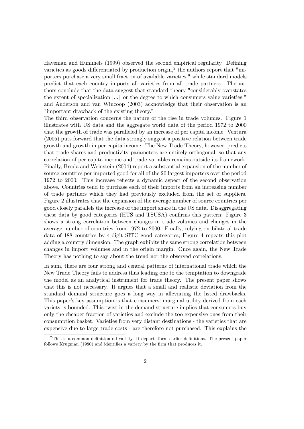Haveman and Hummels (1999) observed the second empirical regularity. Defining varieties as goods differentiated by production origin,<sup>2</sup> the authors report that "importers purchase a very small fraction of available varieties," while standard models predict that each country imports all varieties from all trade partners. The authors conclude that the data suggest that standard theory "considerably overstates the extent of specialization [...] or the degree to which consumers value varieties," and Anderson and van Wincoop (2003) acknowledge that their observation is an "important drawback of the existing theory."

The third observation concerns the nature of the rise in trade volumes. Figure 1 illustrates with US data and the aggregate world data of the period 1972 to 2000 that the growth of trade was paralleled by an increase of per capita income. Ventura (2005) puts forward that the data strongly suggest a positive relation between trade growth and growth in per capita income. The New Trade Theory, however, predicts that trade shares and productivity parameters are entirely orthogonal, so that any correlation of per capita income and trade variables remains outside its framework. Finally, Broda and Weinstein (2004) report a substantial expansion of the number of source countries per imported good for all of the 20 largest importers over the period 1972 to 2000. This increase reflects a dynamic aspect of the second observation above. Countries tend to purchase each of their imports from an increasing number of trade partners which they had previously excluded from the set of suppliers. Figure 2 illustrates that the expansion of the average number of source countries per good closely parallels the increase of the import share in the US data. Disaggregating these data by good categories (HTS and TSUSA) confirms this pattern: Figure 3 shows a strong correlation between changes in trade volumes and changes in the average number of countries from 1972 to 2000. Finally, relying on bilateral trade data of 188 countries by 4-digit SITC good categories, Figure 4 repeats this plot adding a country dimension. The graph exhibits the same strong correlation between changes in import volumes and in the origin margin. Once again, the New Trade Theory has nothing to say about the trend nor the observed correlations.

In sum, there are four strong and central patterns of international trade which the New Trade Theory fails to address thus leading one to the temptation to downgrade the model as an analytical instrument for trade theory. The present paper shows that this is not necessary. It argues that a small and realistic deviation from the standard demand structure goes a long way in alleviating the listed drawbacks. This paper's key assumption is that consumers' marginal utility derived from each variety is bounded. This twist in the demand structure implies that consumers buy only the cheaper fraction of varieties and exclude the too expensive ones from their consumption basket. Varieties from very distant destinations - the varieties that are expensive due to large trade costs - are therefore not purchased. This explains the

 $2$ This is a common definition od variety. It departs form earlier definitions. The present paper follows Krugman (1980) and identifies a variety by the firm that produces it.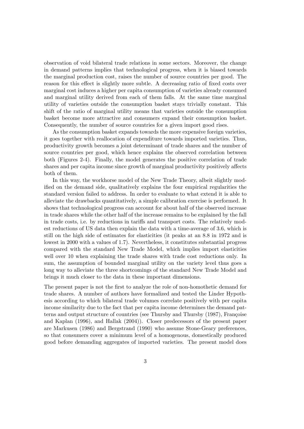observation of void bilateral trade relations in some sectors. Moreover, the change in demand patterns implies that technological progress, when it is biased towards the marginal production cost, raises the number of source countries per good. The reason for this effect is slightly more subtle. A decreasing ratio of fixed costs over marginal cost induces a higher per capita consumption of varieties already consumed and marginal utility derived from each of them falls. At the same time marginal utility of varieties outside the consumption basket stays trivially constant. This shift of the ratio of marginal utility means that varieties outside the consumption basket become more attractive and consumers expand their consumption basket. Consequently, the number of source countries for a given import good rises.

As the consumption basket expands towards the more expensive foreign varieties, it goes together with reallocation of expenditure towards imported varieties. Thus, productivity growth becomes a joint determinant of trade shares and the number of source countries per good, which hence explains the observed correlation between both (Figures 2-4). Finally, the model generates the positive correlation of trade shares and per capita income since growth of marginal productivity positively affects both of them.

In this way, the workhorse model of the New Trade Theory, albeit slightly modified on the demand side, qualitatively explains the four empirical regularities the standard version failed to address. In order to evaluate to what extend it is able to alleviate the drawbacks quantitatively, a simple calibration exercise is performed. It shows that technological progress can account for about half of the observed increase in trade shares while the other half of the increase remains to be explained by the fall in trade costs, i.e. by reductions in tariffs and transport costs. The relatively modest reductions of US data then explain the data with a time-average of 3.6, which is still on the high side of estimates for elasticities (it peaks at an 8.8 in 1972 and is lowest in 2000 with a values of 1.7). Nevertheless, it constitutes substantial progress compared with the standard New Trade Model, which implies import elasticities well over 10 when explaining the trade shares with trade cost reductions only. In sum, the assumption of bounded marginal utility on the variety level thus goes a long way to alleviate the three shortcomings of the standard New Trade Model and brings it much closer to the data in these important dimensions.

The present paper is not the first to analyze the role of non-homothetic demand for trade shares. A number of authors have formalized and tested the Linder Hypothesis according to which bilateral trade volumes correlate positively with per capita income similarity due to the fact that per capita income determines the demand patterns and output structure of countries (see Thursby and Thursby (1987), Françoise and Kaplan (1996), and Hallak (2004)). Closer predecessors of the present paper are Markusen (1986) and Bergstrand (1990) who assume Stone-Geary preferences, so that consumers cover a minimum level of a homogenous, domestically produced good before demanding aggregates of imported varieties. The present model does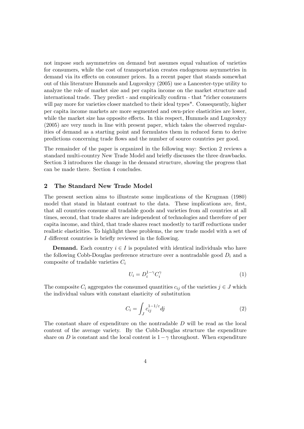not impose such asymmetries on demand but assumes equal valuation of varieties for consumers, while the cost of transportation creates endogenous asymmetries in demand via its effects on consumer prices. In a recent paper that stands somewhat out of this literature Hummels and Lugovskyy (2005) use a Lancester-type utility to analyze the role of market size and per capita income on the market structure and international trade. They predict - and empirically confirm - that "richer consumers will pay more for varieties closer matched to their ideal types". Consequently, higher per capita income markets are more segmented and own-price elasticities are lower, while the market size has opposite effects. In this respect, Hummels and Lugovskyy (2005) are very much in line with present paper, which takes the observed regularities of demand as a starting point and formulates them in reduced form to derive predictions concerning trade áows and the number of source countries per good.

The remainder of the paper is organized in the following way: Section 2 reviews a standard multi-country New Trade Model and briefly discusses the three drawbacks. Section 3 introduces the change in the demand structure, showing the progress that can be made there. Section 4 concludes.

#### 2 The Standard New Trade Model

The present section aims to illustrate some implications of the Krugman (1980) model that stand in blatant contrast to the data. These implications are, first, that all countries consume all tradable goods and varieties from all countries at all times, second, that trade shares are independent of technologies and therefore of per capita income, and third, that trade shares react modestly to tariff reductions under realistic elasticities. To highlight these problems, the new trade model with a set of I different countries is briefly reviewed in the following.

**Demand.** Each country  $i \in I$  is populated with identical individuals who have the following Cobb-Douglas preference structure over a nontradable good  $D_i$  and a composite of tradable varieties  $C_i$ 

$$
U_i = D_i^{1-\gamma} C_i^{\gamma} \tag{1}
$$

The composite  $C_i$  aggregates the consumed quantities  $c_{ij}$  of the varieties  $j \in J$  which the individual values with constant elasticity of substitution

$$
C_i = \int_J c_{ij}^{1-1/\varepsilon} dj \tag{2}
$$

The constant share of expenditure on the nontradable D will be read as the local content of the average variety. By the Cobb-Douglas structure the expenditure share on D is constant and the local content is  $1-\gamma$  throughout. When expenditure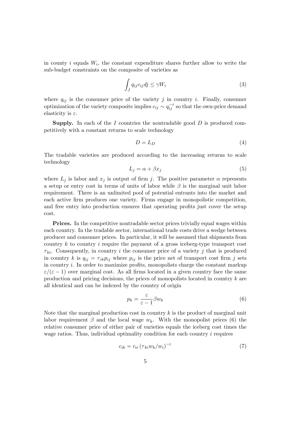in county  $i$  equals  $W_i$ , the constant expenditure shares further allow to write the sub-budget constraints on the composite of varieties as

$$
\int_{J} q_{ij} c_{ij} dj \le \gamma W_i \tag{3}
$$

where  $q_{ij}$  is the consumer price of the variety j in country i. Finally, consumer optimization of the variety composite implies  $c_{ij} \sim q_{ij}^{-\varepsilon}$  so that the own-price demand elasticity is  $\varepsilon$ .

**Supply.** In each of the I countries the nontradable good  $D$  is produced competitively with a constant returns to scale technology

$$
D = L_D \tag{4}
$$

The tradable varieties are produced according to the increasing returns to scale technology

$$
L_j = \alpha + \beta x_j \tag{5}
$$

where  $L_j$  is labor and  $x_j$  is output of firm j. The positive parameter  $\alpha$  represents a setup or entry cost in terms of units of labor while  $\beta$  is the marginal unit labor requirement. There is an unlimited pool of potential entrants into the market and each active firm produces one variety. Firms engage in monopolistic competition, and free entry into production ensures that operating profits just cover the setup cost.

Prices. In the competitive nontradable sector prices trivially equal wages within each country. In the tradable sector, international trade costs drive a wedge between producer and consumer prices. In particular, it will be assumed that shipments from country  $k$  to country  $i$  require the payment of a gross iceberg-type transport cost  $\tau_{ki}$ . Consequently, in country i the consumer price of a variety j that is produced in country k is  $q_{ij} = \tau_{ik} p_{ij}$  where  $p_{ij}$  is the price net of transport cost firm j sets in country  $i$ . In order to maximize profits, monopolists charge the constant markup  $\varepsilon/(\varepsilon - 1)$  over marginal cost. As all firms located in a given country face the same production and pricing decisions, the prices of monopolists located in country k are all identical and can be indexed by the country of origin

$$
p_k = \frac{\varepsilon}{\varepsilon - 1} \beta w_k \tag{6}
$$

Note that the marginal production cost in country  $k$  is the product of marginal unit labor requirement  $\beta$  and the local wage  $w_k$ . With the monopolist prices (6) the relative consumer price of either pair of varieties equals the iceberg cost times the wage ratios. Thus, individual optimality condition for each country  $i$  requires

$$
c_{ik} = c_{ii} \left( \tau_{ki} w_k / w_i \right)^{-\varepsilon} \tag{7}
$$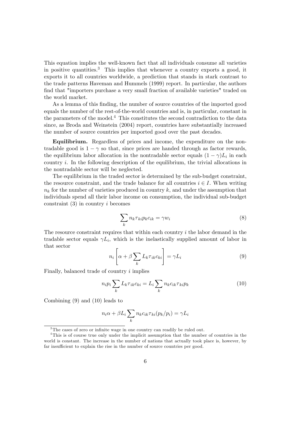This equation implies the well-known fact that all individuals consume all varieties in positive quantities.<sup>3</sup> This implies that whenever a country exports a good, it exports it to all countries worldwide, a prediction that stands in stark contrast to the trade patterns Haveman and Hummels (1999) report. In particular, the authors find that "importers purchase a very small fraction of available varieties" traded on the world market.

As a lemma of this finding, the number of source countries of the imported good equals the number of the rest-of-the-world countries and is, in particular, constant in the parameters of the model.<sup>4</sup> This constitutes the second contradiction to the data since, as Broda and Weinstein (2004) report, countries have substantially increased the number of source countries per imported good over the past decades.

Equilibrium. Regardless of prices and income, the expenditure on the nontradable good is  $1 - \gamma$  so that, since prices are handed through as factor rewards, the equilibrium labor allocation in the nontradable sector equals  $(1 - \gamma)L_i$  in each country  $i$ . In the following description of the equilibrium, the trivial allocations in the nontradable sector will be neglected.

The equilibrium in the traded sector is determined by the sub-budget constraint, the resource constraint, and the trade balance for all countries  $i \in I$ . When writing  $n_k$  for the number of varieties produced in country k, and under the assumption that individuals spend all their labor income on consumption, the individual sub-budget constraint  $(3)$  in country i becomes

$$
\sum_{k} n_{k} \tau_{ki} p_{k} c_{ik} = \gamma w_{i}
$$
\n(8)

The resource constraint requires that within each country  $i$  the labor demand in the tradable sector equals  $\gamma L_i$ , which is the inelastically supplied amount of labor in that sector

$$
n_i \left[ \alpha + \beta \sum_{k} L_k \tau_{ik} c_{ki} \right] = \gamma L_i \tag{9}
$$

Finally, balanced trade of country i implies

$$
n_i p_i \sum_k L_k \tau_{ik} c_{ki} = L_i \sum_k n_k c_{ik} \tau_{ki} p_k \tag{10}
$$

Combining (9) and (10) leads to

$$
n_i \alpha + \beta L_i \sum_k n_k c_{ik} \tau_{ki}(p_k/p_i) = \gamma L_i
$$

 $3$ The cases of zero or infinite wage in one country can readily be ruled out.

<sup>4</sup>This is of course true only under the implicit assumption that the number of countries in the world is constant. The increase in the number of nations that actually took place is, however, by far insufficient to explain the rise in the number of source countries per good.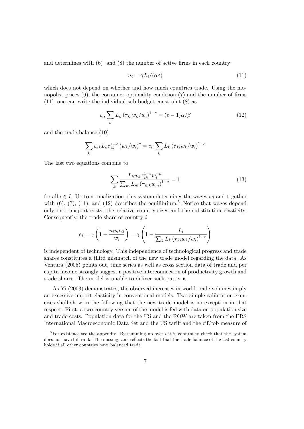and determines with  $(6)$  and  $(8)$  the number of active firms in each country

$$
n_i = \gamma L_i / (\alpha \varepsilon) \tag{11}
$$

which does not depend on whether and how much countries trade. Using the monopolist prices  $(6)$ , the consumer optimality condition  $(7)$  and the number of firms (11), one can write the individual sub-budget constraint (8) as

$$
c_{ii} \sum_{k} L_k \left(\tau_{ki} w_k / w_i\right)^{1-\varepsilon} = (\varepsilon - 1)\alpha/\beta \tag{12}
$$

and the trade balance (10)

$$
\sum_{k} c_{kk} L_{k} \tau_{ik}^{1-\epsilon} (w_{k}/w_{i})^{\epsilon} = c_{ii} \sum_{k} L_{k} (\tau_{ki} w_{k}/w_{i})^{1-\epsilon}
$$

The last two equations combine to

$$
\sum_{k} \frac{L_k w_k \tau_{ik}^{1-\epsilon} w_i^{-\epsilon}}{\sum_{m} L_m \left(\tau_{mk} w_m\right)^{1-\epsilon}} = 1\tag{13}
$$

for all  $i \in I$ . Up to normalization, this system determines the wages  $w_i$  and together with  $(6)$ ,  $(7)$ ,  $(11)$ , and  $(12)$  describes the equilibrium.<sup>5</sup> Notice that wages depend only on transport costs, the relative country-sizes and the substitution elasticity. Consequently, the trade share of country i

$$
e_i = \gamma \left( 1 - \frac{n_i p_i c_{ii}}{w_i} \right) = \gamma \left( 1 - \frac{L_i}{\sum_k L_k \left( \tau_{ki} w_k / w_i \right)^{1 - \varepsilon}} \right)
$$

is independent of technology. This independence of technological progress and trade shares constitutes a third mismatch of the new trade model regarding the data. As Ventura (2005) points out, time series as well as cross section data of trade and per capita income strongly suggest a positive interconnection of productivity growth and trade shares. The model is unable to deliver such patterns.

As Yi (2003) demonstrates, the observed increases in world trade volumes imply an excessive import elasticity in conventional models. Two simple calibration exercises shall show in the following that the new trade model is no exception in that respect. First, a two-country version of the model is fed with data on population size and trade costs. Population data for the US and the ROW are taken from the ERS International Macroeconomic Data Set and the US tariff and the cif/fob measure of

 $\sqrt[5]{\frac{1}{2}}$  For existence see the appendix. By summing up over i it is confirm to check that the system does not have full rank. The missing rank reflects the fact that the trade balance of the last country holds if all other countries have balanced trade.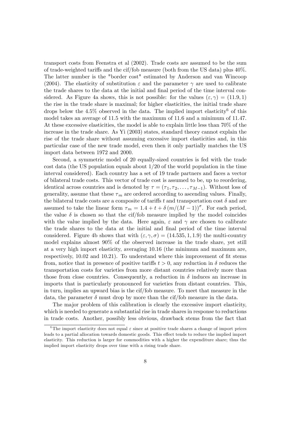transport costs from Feenstra et al (2002). Trade costs are assumed to be the sum of trade-weighted tariffs and the cif/fob measure (both from the US data) plus  $40\%$ . The latter number is the "border cost" estimated by Anderson and van Wincoop (2004). The elasticity of substitution  $\varepsilon$  and the parameter  $\gamma$  are used to calibrate the trade shares to the data at the initial and final period of the time interval considered. As Figure 4a shows, this is not possible: for the values  $(\varepsilon, \gamma) = (11.9, 1)$ the rise in the trade share is maximal; for higher elasticities, the initial trade share drops below the  $4.5\%$  observed in the data. The implied import elasticity<sup>6</sup> of this model takes an average of 11.5 with the maximum of 11.6 and a minimum of 11.47. At these excessive elasticities, the model is able to explain little less than 70% of the increase in the trade share. As Yi (2003) states, standard theory cannot explain the rise of the trade share without assuming excessive import elasticities and, in this particular case of the new trade model, even then it only partially matches the US import data between 1972 and 2000.

Second, a symmetric model of 20 equally-sized countries is fed with the trade cost data (the US population equals about 1/20 of the world population in the time interval considered). Each country has a set of 19 trade partners and faces a vector of bilateral trade costs. This vector of trade cost is assumed to be, up to reordering, identical across countries and is denoted by  $\tau = (\tau_1, \tau_2, \ldots, \tau_{M-1})$ . Without loss of generality, assume that these  $\tau_m$  are ordered according to ascending values. Finally, the bilateral trade costs are a composite of tariffs t and transportation cost  $\delta$  and are assumed to take the linear form  $\tau_m = 1.4 + t + \delta (m/(M - 1))^{\sigma}$ . For each period, the value  $\delta$  is chosen so that the cif/fob measure implied by the model coincides with the value implied by the data. Here again,  $\varepsilon$  and  $\gamma$  are chosen to calibrate the trade shares to the data at the initial and Önal period of the time interval considered. Figure 4b shows that with  $(\varepsilon, \gamma, \sigma) = (14.535, 1, 1.9)$  the multi-country model explains almost 90% of the observed increase in the trade share, yet still at a very high import elasticity, averaging 10:16 (the minimum and maximum are, respectively, 10.02 and 10.21). To understand where this improvement of fit stems from, notice that in presence of positive tariffs  $t > 0$ , any reduction in  $\delta$  reduces the transportation costs for varieties from more distant countries relatively more than those from close countries. Consequently, a reduction in  $\delta$  induces an increase in imports that is particularly pronounced for varieties from distant countries. This, in turn, implies an upward bias is the cif/fob measure. To meet that measure in the data, the parameter  $\delta$  must drop by more than the cif/fob measure in the data.

The major problem of this calibration is clearly the excessive import elasticity, which is needed to generate a substantial rise in trade shares in response to reductions in trade costs. Another, possibly less obvious, drawback stems from the fact that

<sup>&</sup>lt;sup>6</sup>The import elasticity does not equal  $\varepsilon$  since at positive trade shares a change of import prices leads to a partial allocation towards domestic goods. This effect tends to reduce the implied import elasticity. This reduction is larger for commodities with a higher the expenditure share; thus the implied import elasticity drops over time with a rising trade share.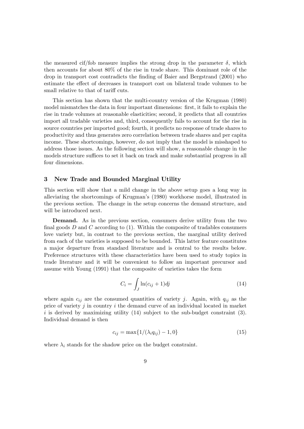the measured cif/fob measure implies the strong drop in the parameter  $\delta$ , which then accounts for about 80% of the rise in trade share. This dominant role of the drop in transport cost contradicts the Önding of Baier and Bergstrand (2001) who estimate the effect of decreases in transport cost on bilateral trade volumes to be small relative to that of tariff cuts.

This section has shown that the multi-country version of the Krugman (1980) model mismatches the data in four important dimensions: first, it fails to explain the rise in trade volumes at reasonable elasticities; second, it predicts that all countries import all tradable varieties and, third, consequently fails to account for the rise in source countries per imported good; fourth, it predicts no response of trade shares to productivity and thus generates zero correlation between trade shares and per capita income. These shortcomings, however, do not imply that the model is misshaped to address those issues. As the following section will show, a reasonable change in the models structure suffices to set it back on track and make substantial progress in all four dimensions.

#### 3 New Trade and Bounded Marginal Utility

This section will show that a mild change in the above setup goes a long way in alleviating the shortcomings of Krugmanís (1980) workhorse model, illustrated in the previous section. The change in the setup concerns the demand structure, and will be introduced next.

Demand. As in the previous section, consumers derive utility from the two final goods  $D$  and  $C$  according to (1). Within the composite of tradables consumers love variety but, in contrast to the previous section, the marginal utility derived from each of the varieties is supposed to be bounded. This latter feature constitutes a major departure from standard literature and is central to the results below. Preference structures with these characteristics have been used to study topics in trade literature and it will be convenient to follow an important precursor and assume with Young (1991) that the composite of varieties takes the form

$$
C_i = \int_J \ln(c_{ij} + 1)dj \tag{14}
$$

where again  $c_{ij}$  are the consumed quantities of variety j. Again, with  $q_{ij}$  as the price of variety  $j$  in country  $i$  the demand curve of an individual located in market i is derived by maximizing utility  $(14)$  subject to the sub-budget constraint  $(3)$ . Individual demand is then

$$
c_{ij} = \max\{1/(\lambda_i q_{ij}) - 1, 0\}
$$
 (15)

where  $\lambda_i$  stands for the shadow price on the budget constraint.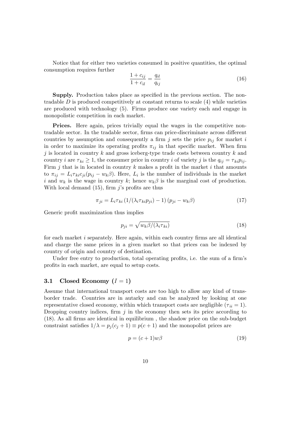Notice that for either two varieties consumed in positive quantities, the optimal consumption requires further

$$
\frac{1 + c_{ij}}{1 + c_{il}} = \frac{q_{il}}{q_{ij}}
$$
(16)

Supply. Production takes place as specified in the previous section. The nontradable  $D$  is produced competitively at constant returns to scale  $(4)$  while varieties are produced with technology (5). Firms produce one variety each and engage in monopolistic competition in each market.

Prices. Here again, prices trivially equal the wages in the competitive nontradable sector. In the tradable sector, firms can price-discriminate across different countries by assumption and consequently a firm j sets the price  $p_{ij}$  for market i in order to maximize its operating profits  $\pi_{ij}$  in that specific market. When firm j is located in country k and gross iceberg-type trade costs between country k and country i are  $\tau_{ki} \geq 1$ , the consumer price in country i of variety j is the  $q_{ij} = \tau_{ki} p_{ij}$ . Firm j that is in located in country k makes a profit in the market i that amounts to  $\pi_{ij} = L_i \tau_{ki} c_{ji} (p_{ij} - w_k \beta)$ . Here,  $L_i$  is the number of individuals in the market i and  $w_k$  is the wage in country k; hence  $w_k \beta$  is the marginal cost of production. With local demand  $(15)$ , firm j's profits are thus

$$
\pi_{ji} = L_i \tau_{ki} \left( 1/(\lambda_i \tau_{ki} p_{ji}) - 1 \right) \left( p_{ji} - w_k \beta \right) \tag{17}
$$

Generic profit maximization thus implies

$$
p_{ji} = \sqrt{w_k \beta / (\lambda_i \tau_{ki})} \tag{18}
$$

for each market  $i$  separately. Here again, within each country firms are all identical and charge the same prices in a given market so that prices can be indexed by country of origin and country of destination.

Under free entry to production, total operating profits, i.e. the sum of a firm's profits in each market, are equal to setup costs.

#### 3.1 Closed Economy  $(I = 1)$

Assume that international transport costs are too high to allow any kind of transborder trade. Countries are in autarky and can be analyzed by looking at one representative closed economy, within which transport costs are negligible  $(\tau_{ii} = 1)$ . Dropping country indices, firm  $j$  in the economy then sets its price according to (18). As all Örms are identical in equilibrium , the shadow price on the sub-budget constraint satisfies  $1/\lambda = p_i (c_i + 1) \equiv p(c + 1)$  and the monopolist prices are

$$
p = (c+1)w\beta\tag{19}
$$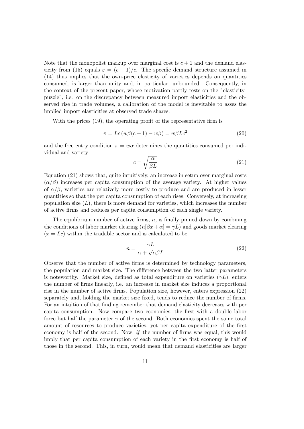Note that the monopolist markup over marginal cost is  $c + 1$  and the demand elasticity from (15) equals  $\varepsilon = (c+1)/c$ . The specific demand structure assumed in (14) thus implies that the own-price elasticity of varieties depends on quantities consumed, is larger than unity and, in particular, unbounded. Consequently, in the context of the present paper, whose motivation partly rests on the "elasticitypuzzle", i.e. on the discrepancy between measured import elasticities and the observed rise in trade volumes, a calibration of the model is inevitable to asses the implied import elasticities at observed trade shares.

With the prices  $(19)$ , the operating profit of the representative firm is

$$
\pi = Lc(w\beta(c+1) - w\beta) = w\beta Lc^2 \tag{20}
$$

and the free entry condition  $\pi = w\alpha$  determines the quantities consumed per individual and variety

$$
c = \sqrt{\frac{\alpha}{\beta L}}\tag{21}
$$

Equation (21) shows that, quite intuitively, an increase in setup over marginal costs  $(\alpha/\beta)$  increases per capita consumption of the average variety. At higher values of  $\alpha/\beta$ , varieties are relatively more costly to produce and are produced in lesser quantities so that the per capita consumption of each rises. Conversely, at increasing population size  $(L)$ , there is more demand for varieties, which increases the number of active Örms and reduces per capita consumption of each single variety.

The equilibrium number of active firms,  $n$ , is finally pinned down by combining the conditions of labor market clearing  $(n[\beta x + \alpha] = \gamma L)$  and goods market clearing  $(x = Lc)$  within the tradable sector and is calculated to be

$$
n = \frac{\gamma L}{\alpha + \sqrt{\alpha \beta L}}\tag{22}
$$

Observe that the number of active Örms is determined by technology parameters, the population and market size. The difference between the two latter parameters is noteworthy. Market size, defined as total expenditure on varieties  $(\gamma L)$ , enters the number of Örms linearly, i.e. an increase in market size induces a proportional rise in the number of active firms. Population size, however, enters expression (22) separately and, holding the market size fixed, tends to reduce the number of firms. For an intuition of that finding remember that demand elasticity decreases with per capita consumption. Now compare two economies, the first with a double labor force but half the parameter  $\gamma$  of the second. Both economies spent the same total amount of resources to produce varieties, yet per capita expenditure of the first economy is half of the second. Now,  $if$  the number of firms was equal, this would imply that per capita consumption of each variety in the first economy is half of those in the second. This, in turn, would mean that demand elasticities are larger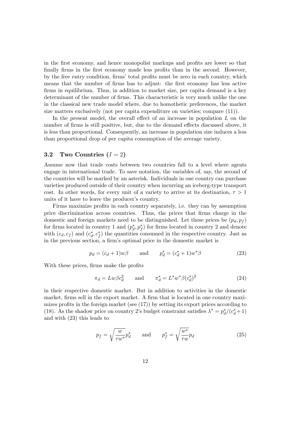in the first economy, and hence monopolist markups and profits are lower so that finally firms in the first economy made less profits than in the second. However, by the free entry condition, firms' total profits must be zero in each country, which means that the number of firms has to adjust: the first economy has less active firms in equilibrium. Thus, in addition to market size, per capita demand is a key determinant of the number of firms. This characteristic is very much unlike the one in the classical new trade model where, due to homothetic preferences, the market size matters exclusively (not per capita expenditure on varieties; compare (11)).

In the present model, the overall effect of an increase in population  $L$  on the number of firms is still positive, but, due to the demand effects discussed above, it is less than proportional. Consequently, an increase in population size induces a less than proportional drop of per capita consumption of the average variety.

#### 3.2 Two Countries  $(I = 2)$

Assume now that trade costs between two countries fall to a level where agents engage in international trade. To save notation, the variables of, say, the second of the countries will be marked by an asterisk. Individuals in one country can purchase varieties produced outside of their country when incurring an iceberg-type transport cost. In other words, for every unit of a variety to arrive at its destination,  $\tau > 1$ units of it have to leave the producer's country.

Firms maximize profits in each country separately, i.e. they can by assumption price discrimination across countries. Thus, the prices that Örms charge in the domestic and foreign markets need to be distinguished. Let these prices be  $(p_d, p_f)$ for firms located in country 1 and  $(p_d^*, p_f^*)$  for firms located in country 2 and denote with  $(c_d, c_f)$  and  $(c_d^*, c_f^*)$  the quantities consumed in the respective country. Just as in the previous section, a firm's optimal price in the domestic market is

$$
p_d = (c_d + 1)w\beta
$$
 and  $p_d^* = (c_d^* + 1)w^*\beta$  (23)

With these prices, firms make the profits

$$
\pi_d = Lw\beta c_d^2 \qquad \text{and} \qquad \pi_d^* = L^*w^*\beta (c_d^*)^2 \tag{24}
$$

in their respective domestic market. But in addition to activities in the domestic market, firms sell in the export market. A firm that is located in one country maximizes profits in the foreign market (see  $(17)$ ) by setting its export prices according to (18). As the shadow price on country 2's budget constraint satisfies  $\lambda^* = p_d^*/(c_d^* + 1)$ and with (23) this leads to

$$
p_f = \sqrt{\frac{w}{\tau w^*}} p_d^* \quad \text{and} \quad p_f^* = \sqrt{\frac{w^*}{\tau w}} p_d \tag{25}
$$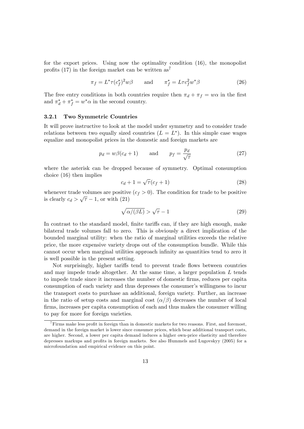for the export prices. Using now the optimality condition (16), the monopolist profits (17) in the foreign market can be written  $as^7$ 

$$
\pi_f = L^* \tau (c_f^*)^2 w \beta \qquad \text{and} \qquad \pi_f^* = L \tau c_f^2 w^* \beta \tag{26}
$$

The free entry conditions in both countries require then  $\pi_d + \pi_f = w\alpha$  in the first and  $\pi_d^* + \pi_f^* = w^* \alpha$  in the second country.

#### 3.2.1 Two Symmetric Countries

It will prove instructive to look at the model under symmetry and to consider trade relations between two equally sized countries  $(L = L^*)$ . In this simple case wages equalize and monopolist prices in the domestic and foreign markets are

$$
p_d = w\beta(c_d + 1) \qquad \text{and} \qquad p_f = \frac{p_d}{\sqrt{\tau}} \tag{27}
$$

where the asterisk can be dropped because of symmetry. Optimal consumption choice (16) then implies

$$
c_d + 1 = \sqrt{\tau} (c_f + 1) \tag{28}
$$

whenever trade volumes are positive  $(c_f > 0)$ . The condition for trade to be positive is clearly  $c_d > \sqrt{\tau} - 1$ , or with (21)

$$
\sqrt{\alpha/(\beta L)} > \sqrt{\tau} - 1 \tag{29}
$$

In contrast to the standard model, finite tariffs can, if they are high enough, make bilateral trade volumes fall to zero. This is obviously a direct implication of the bounded marginal utility: when the ratio of marginal utilities exceeds the relative price, the more expensive variety drops out of the consumption bundle. While this cannot occur when marginal utilities approach infinity as quantities tend to zero it is well possible in the present setting.

Not surprisingly, higher tariffs tend to prevent trade flows between countries and may impede trade altogether. At the same time, a larger population  $L$  tends to impede trade since it increases the number of domestic Örms, reduces per capita consumption of each variety and thus depresses the consumer's willingness to incur the transport costs to purchase an additional, foreign variety. Further, an increase in the ratio of setup costs and marginal cost  $(\alpha/\beta)$  decreases the number of local firms, increases per capita consumption of each and thus makes the consumer willing to pay for more for foreign varieties.

 $^7$ Firms make less profit in foreign than in domestic markets for two reasons. First, and foremost, demand in the foreign market is lower since consumer prices, which bear additional transport costs, are higher. Second, a lower per capita demand induces a higher own-price elasticity and therefore depresses markups and profits in foreign markets. See also Hummels and Lugovskyy (2005) for a microfoundation and empirical evidence on this point.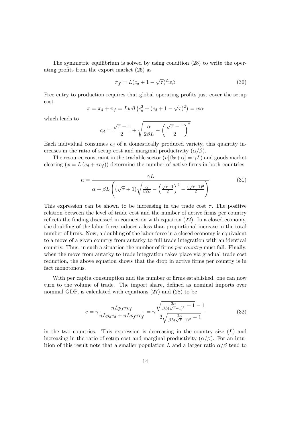The symmetric equilibrium is solved by using condition (28) to write the operating profits from the export market  $(26)$  as

$$
\pi_f = L(c_d + 1 - \sqrt{\tau})^2 w \beta \tag{30}
$$

Free entry to production requires that global operating profits just cover the setup cost

$$
\pi = \pi_d + \pi_f = Lw\beta \left(c_d^2 + (c_d + 1 - \sqrt{\tau})^2\right) = w\alpha
$$

which leads to

$$
c_d = \frac{\sqrt{\tau} - 1}{2} + \sqrt{\frac{\alpha}{2\beta L} - \left(\frac{\sqrt{\tau} - 1}{2}\right)^2}
$$

Each individual consumes  $c_d$  of a domestically produced variety, this quantity increases in the ratio of setup cost and marginal productivity  $(\alpha/\beta)$ .

The resource constraint in the tradable sector  $(n[\beta x+\alpha]=\gamma L)$  and goods market clearing  $(x = L(c_d + \tau c_f))$  determine the number of active firms in both countries

$$
n = \frac{\gamma L}{\alpha + \beta L \left( (\sqrt{\tau} + 1) \sqrt{\frac{\alpha}{\beta 2L} - \left( \frac{\sqrt{\tau} - 1}{2} \right)^2 - \frac{(\sqrt{\tau} - 1)^2}{2}} \right)} \tag{31}
$$

This expression can be shown to be increasing in the trade cost  $\tau$ . The positive relation between the level of trade cost and the number of active firms per country reflects the finding discussed in connection with equation  $(22)$ . In a closed economy, the doubling of the labor force induces a less than proportional increase in the total number of firms. Now, a doubling of the labor force in a closed economy is equivalent to a move of a given country from autarky to full trade integration with an identical country. Thus, in such a situation the number of firms *per country* must fall. Finally, when the move from autarky to trade integration takes place via gradual trade cost reduction, the above equation shows that the drop in active firms per country is in fact monotonous.

With per capita consumption and the number of firms established, one can now turn to the volume of trade. The import share, defined as nominal imports over nominal GDP, is calculated with equations (27) and (28) to be

$$
e = \gamma \frac{nLp_f \tau c_f}{nLp_d c_d + nLp_f \tau c_f} = \gamma \frac{\sqrt{\frac{2\alpha}{\beta L(\sqrt{\tau} - 1)^2} - 1} - 1}{2\sqrt{\frac{2\alpha}{\beta L(\sqrt{\tau} - 1)^2} - 1}} \tag{32}
$$

in the two countries. This expression is decreasing in the country size  $(L)$  and increasing in the ratio of setup cost and marginal productivity  $(\alpha/\beta)$ . For an intuition of this result note that a smaller population L and a larger ratio  $\alpha/\beta$  tend to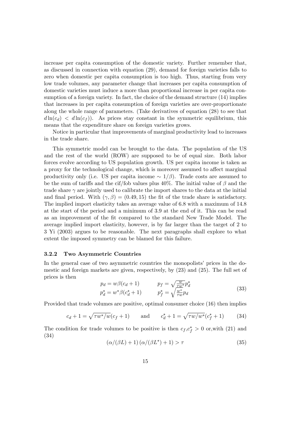increase per capita consumption of the domestic variety. Further remember that, as discussed in connection with equation (29), demand for foreign varieties falls to zero when domestic per capita consumption is too high. Thus, starting from very low trade volumes, any parameter change that increases per capita consumption of domestic varieties must induce a more than proportional increase in per capita consumption of a foreign variety. In fact, the choice of the demand structure  $(14)$  implies that increases in per capita consumption of foreign varieties are over-proportionate along the whole range of parameters. (Take derivatives of equation (28) to see that  $d \ln(c_d) < d \ln(c_f)$ . As prices stay constant in the symmetric equilibrium, this means that the expenditure share on foreign varieties grows.

Notice in particular that improvements of marginal productivity lead to increases in the trade share.

This symmetric model can be brought to the data. The population of the US and the rest of the world (ROW) are supposed to be of equal size. Both labor forces evolve according to US population growth. US per capita income is taken as a proxy for the technological change, which is moreover assumed to affect marginal productivity only (i.e. US per capita income  $\sim 1/\beta$ ). Trade costs are assumed to be the sum of tariffs and the cif/fob values plus 40%. The initial value of  $\beta$  and the trade share  $\gamma$  are jointly used to calibrate the import shares to the data at the initial and final period. With  $(\gamma, \beta) = (0.49, 15)$  the fit of the trade share is satisfactory. The implied import elasticity takes an average value of 6:8 with a maximum of 14:8 at the start of the period and a minimum of 3:9 at the end of it. This can be read as an improvement of the Öt compared to the standard New Trade Model. The average implied import elasticity, however, is by far larger than the target of 2 to 3 Yi (2003) argues to be reasonable. The next paragraphs shall explore to what extent the imposed symmetry can be blamed for this failure.

#### 3.2.2 Two Asymmetric Countries

In the general case of two asymmetric countries the monopolists' prices in the domestic and foreign markets are given, respectively, by (23) and (25). The full set of prices is then

$$
p_d = w\beta(c_d + 1)
$$
  
\n
$$
p_f = \sqrt{\frac{w}{\tau w^*}} p_d^*
$$
  
\n
$$
p_d^* = w^*\beta(c_d^* + 1)
$$
  
\n
$$
p_f^* = \sqrt{\frac{w^*}{\tau w}} p_d
$$
\n(33)

Provided that trade volumes are positive, optimal consumer choice (16) then implies

$$
c_d + 1 = \sqrt{\tau w^* / w} (c_f + 1)
$$
 and  $c_d^* + 1 = \sqrt{\tau w / w^*} (c_f^* + 1)$  (34)

The condition for trade volumes to be positive is then  $c_f, c_f^* > 0$  or, with (21) and (34)

$$
(\alpha/(\beta L) + 1)\left(\alpha/(\beta L^*) + 1\right) > \tau \tag{35}
$$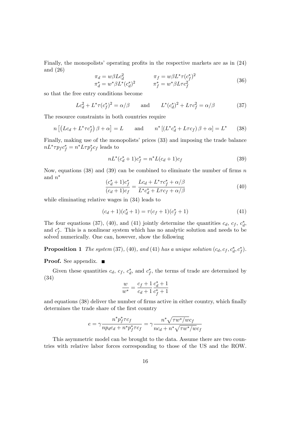Finally, the monopolists' operating profits in the respective markets are as in  $(24)$ and (26)

$$
\pi_d = w\beta L c_d^2 \qquad \pi_f = w\beta L^* \tau (c_f^*)^2 \n\pi_d^* = w^* \beta L^* (c_d^*)^2 \qquad \pi_f^* = w^* \beta L \tau c_f^2
$$
\n(36)

so that the free entry conditions become

$$
Lc_d^2 + L^* \tau (c_f^*)^2 = \alpha/\beta \quad \text{and} \quad L^* (c_d^*)^2 + L \tau c_f^2 = \alpha/\beta \tag{37}
$$

The resource constraints in both countries require

$$
n\left[\left(Lc_d + L^* \tau c_f^*\right)\beta + \alpha\right] = L \quad \text{and} \quad n^*\left[\left(L^* c_d^* + L \tau c_f\right)\beta + \alpha\right] = L^* \quad (38)
$$

Finally, making use of the monopolists' prices (33) and imposing the trade balance  $nL^* \tau p_f c_f^* = n^* L \tau p_f^* c_f$  leads to

$$
nL^*(c_d^* + 1)c_f^* = n^*L(c_d + 1)c_f
$$
\n(39)

Now, equations (38) and (39) can be combined to eliminate the number of firms  $n$ and  $n^*$ 

$$
\frac{(c_d^* + 1)c_f^*}{(c_d + 1)c_f} = \frac{Lc_d + L^* \tau c_f^* + \alpha/\beta}{L^* c_d^* + L\tau c_f + \alpha/\beta} \tag{40}
$$

while eliminating relative wages in (34) leads to

$$
(c_d + 1)(c_d^* + 1) = \tau(c_f + 1)(c_f^* + 1)
$$
\n(41)

The four equations (37), (40), and (41) jointly determine the quantities  $c_d$ ,  $c_f$ ,  $c_d^*$ , and  $c_f^*$ . This is a nonlinear system which has no analytic solution and needs to be solved numerically. One can, however, show the following

### **Proposition 1** The system (37), (40), and (41) has a unique solution  $(c_d, c_f, c_d^*, c_f^*)$ .

**Proof.** See appendix.  $\blacksquare$ 

Given these quantities  $c_d$ ,  $c_f$ ,  $c_d^*$ , and  $c_f^*$ , the terms of trade are determined by (34)

$$
\frac{w}{w^*} = \frac{c_f + 1}{c_d + 1} \frac{c_d^* + 1}{c_f^* + 1}
$$

and equations (38) deliver the number of firms active in either country, which finally determines the trade share of the first country

$$
e = \gamma \frac{n^* p_f^* \tau c_f}{np_d c_d + n^* p_f^* \tau c_f} = \gamma \frac{n^* \sqrt{\tau w^* / w c_f}}{nc_d + n^* \sqrt{\tau w^* / w c_f}}
$$

This asymmetric model can be brought to the data. Assume there are two countries with relative labor forces corresponding to those of the US and the ROW.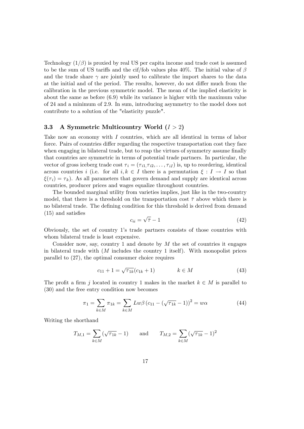Technology  $(1/\beta)$  is proxied by real US per capita income and trade cost is assumed to be the sum of US tariffs and the cif/fob values plus 40%. The initial value of  $\beta$ and the trade share  $\gamma$  are jointly used to calibrate the import shares to the data at the initial and of the period. The results, however, do not differ much from the calibration in the previous symmetric model. The mean of the implied elasticity is about the same as before (6.9) while its variance is higher with the maximum value of 24 and a minimum of 2.9. In sum, introducing asymmetry to the model does not contribute to a solution of the "elasticity puzzle".

#### 3.3 A Symmetric Multicountry World  $(I > 2)$

Take now an economy with I countries, which are all identical in terms of labor force. Pairs of countries differ regarding the respective transportation cost they face when engaging in bilateral trade, but to reap the virtues of symmetry assume finally that countries are symmetric in terms of potential trade partners. In particular, the vector of gross iceberg trade cost  $\tau_i = (\tau_{i1}, \tau_{i2}, \ldots, \tau_{iI})$  is, up to reordering, identical across countries i (i.e. for all  $i, k \in I$  there is a permutation  $\xi : I \to I$  so that  $\xi(\tau_i) = \tau_k$ ). As all parameters that govern demand and supply are identical across countries, producer prices and wages equalize throughout countries.

The bounded marginal utility from varieties implies, just like in the two-country model, that there is a threshold on the transportation cost  $\bar{\tau}$  above which there is no bilateral trade. The defining condition for this threshold is derived from demand  $(15)$  and satisfies

$$
c_{ii} = \sqrt{\bar{\tau}} - 1\tag{42}
$$

Obviously, the set of country 1ís trade partners consists of those countries with whom bilateral trade is least expensive.

Consider now, say, country 1 and denote by  $M$  the set of countries it engages in bilateral trade with  $(M)$  includes the country 1 itself). With monopolist prices parallel to (27), the optimal consumer choice requires

$$
c_{11} + 1 = \sqrt{\tau_{1k}} (c_{1k} + 1) \qquad k \in M \tag{43}
$$

The profit a firm j located in country 1 makes in the market  $k \in M$  is parallel to (30) and the free entry condition now becomes

$$
\pi_1 = \sum_{k \in M} \pi_{1k} = \sum_{k \in M} L w \beta (c_{11} - (\sqrt{\tau_{1k}} - 1))^2 = w \alpha
$$
 (44)

Writing the shorthand

$$
T_{M,1} = \sum_{k \in M} (\sqrt{\tau_{1k}} - 1)
$$
 and  $T_{M,2} = \sum_{k \in M} (\sqrt{\tau_{1k}} - 1)^2$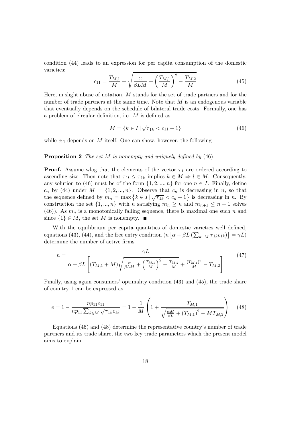condition (44) leads to an expression for per capita consumption of the domestic varieties:

$$
c_{11} = \frac{T_{M,1}}{M} + \sqrt{\frac{\alpha}{\beta LM} + \left(\frac{T_{M,1}}{M}\right)^2 - \frac{T_{M,2}}{M}}
$$
(45)

Here, in slight abuse of notation,  $M$  stands for the set of trade partners and for the number of trade partners at the same time. Note that  $M$  is an endogenous variable that eventually depends on the schedule of bilateral trade costs. Formally, one has a problem of circular definition, i.e.  $M$  is defined as

$$
M = \{ k \in I \mid \sqrt{\tau_{1k}} < c_{11} + 1 \} \tag{46}
$$

while  $c_{11}$  depends on M itself. One can show, however, the following

#### **Proposition 2** The set  $M$  is nonempty and uniquely defined by  $(46)$ .

**Proof.** Assume wlog that the elements of the vector  $\tau_1$  are ordered according to ascending size. Then note that  $\tau_{1l} \leq \tau_{1k}$  implies  $k \in M \Rightarrow l \in M$ . Consequently, any solution to (46) must be of the form  $\{1, 2, ..., n\}$  for one  $n \in I$ . Finally, define  $c_n$  by (44) under  $M = \{1, 2, ..., n\}$ . Observe that  $c_n$  is decreasing in n, so that the sequence defined by  $m_n = \max\left\{k \in I \mid \sqrt{\tau_{1k}} < c_n + 1\right\}$  is decreasing in n. By construction the set  $\{1, ..., n\}$  with n satisfying  $m_n \geq n$  and  $m_{n+1} \leq n+1$  solves (46)). As  $m_n$  is a monotonically falling sequence, there is maximal one such n and since  $\{1\} \in M$ , the set M is nonempty.

With the equilibrium per capita quantities of domestic varieties well defined, equations (43), (44), and the free entry condition  $(n [\alpha + \beta L (\sum_{k \in M} \tau_{1k} c_{1k})] = \gamma L)$ determine the number of active firms

$$
n = \frac{\gamma L}{\alpha + \beta L \left[ (T_{M,1} + M) \sqrt{\frac{\alpha}{\beta L M} + \left( \frac{T_{M,1}}{M} \right)^2 - \frac{T_{M,2}}{M} + \frac{(T_{M,1})^2}{M} - T_{M,2} \right]}}
$$
(47)

Finally, using again consumers' optimality condition  $(43)$  and  $(45)$ , the trade share of country 1 can be expressed as

$$
e = 1 - \frac{np_{11}c_{11}}{np_{11} \sum_{k \in M} \sqrt{\tau_{1k}}c_{1k}} = 1 - \frac{1}{M} \left( 1 + \frac{T_{M,1}}{\sqrt{\frac{\alpha M}{\beta L} + (T_{M,1})^2 - MT_{M,2}}} \right) \tag{48}
$$

Equations  $(46)$  and  $(48)$  determine the representative country's number of trade partners and its trade share, the two key trade parameters which the present model aims to explain.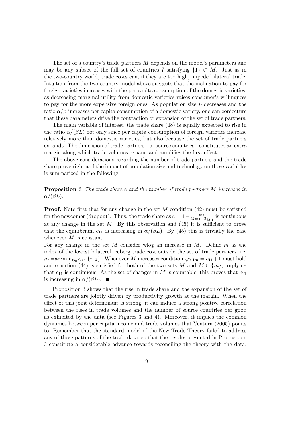The set of a country's trade partners  $M$  depends on the model's parameters and may be any subset of the full set of countries I satisfying  $\{1\} \subset M$ . Just as in the two-country world, trade costs can, if they are too high, impede bilateral trade. Intuition from the two-country model above suggests that the inclination to pay for foreign varieties increases with the per capita consumption of the domestic varieties, as decreasing marginal utility from domestic varieties raises consumer's willingness to pay for the more expensive foreign ones. As population size  $L$  decreases and the ratio  $\alpha/\beta$  increases per capita consumption of a domestic variety, one can conjecture that these parameters drive the contraction or expansion of the set of trade partners.

The main variable of interest, the trade share (48) is equally expected to rise in the ratio  $\alpha/(\beta L)$  not only since per capita consumption of foreign varieties increase relatively more than domestic varieties, but also because the set of trade partners expands. The dimension of trade partners - or source countries - constitutes an extra margin along which trade volumes expand and amplifies the first effect.

The above considerations regarding the number of trade partners and the trade share prove right and the impact of population size and technology on these variables is summarized in the following

Proposition 3 The trade share e and the number of trade partners M increases in  $\alpha/(\beta L)$ .

**Proof.** Note first that for any change in the set  $M$  condition (42) must be satisfied for the newcomer (dropout). Thus, the trade share as  $e = 1 - \frac{c_{11}}{Mc_{11} - c_{12}}$  $\frac{c_{11}}{Mc_{11}-T_{M,1}}$  is continuous at any change in the set  $M$ . By this observation and (45) it is sufficient to prove that the equilibrium  $c_{11}$  is increasing in  $\alpha/(\beta L)$ . By (45) this is trivially the case whenever  $M$  is constant.

For any change in the set  $M$  consider wlog an increase in  $M$ . Define  $m$  as the index of the lowest bilateral iceberg trade cost outside the set of trade partners, i.e.  $m = \operatorname{argmin}_{k \in I \setminus M} \{\tau_{1k}\}.$  Whenever M increases condition  $\sqrt{\tau_{1m}} = c_{11} + 1$  must hold and equation (44) is satisfied for both of the two sets M and  $M \cup \{m\}$ , implying that  $c_{11}$  is continuous. As the set of changes in M is countable, this proves that  $c_{11}$ is increasing in  $\alpha/(\beta L)$ .

Proposition 3 shows that the rise in trade share and the expansion of the set of trade partners are jointly driven by productivity growth at the margin. When the effect of this joint determinant is strong, it can induce a strong positive correlation between the rises in trade volumes and the number of source countries per good as exhibited by the data (see Figures 3 and 4). Moreover, it implies the common dynamics between per capita income and trade volumes that Ventura (2005) points to. Remember that the standard model of the New Trade Theory failed to address any of these patterns of the trade data, so that the results presented in Proposition 3 constitute a considerable advance towards reconciling the theory with the data.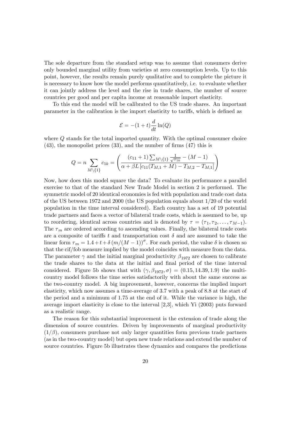The sole departure from the standard setup was to assume that consumers derive only bounded marginal utility from varieties at zero consumption levels. Up to this point, however, the results remain purely qualitative and to complete the picture it is necessary to know how the model performs quantitatively, i.e. to evaluate whether it can jointly address the level and the rise in trade shares, the number of source countries per good and per capita income at reasonable import elasticity.

To this end the model will be calibrated to the US trade shares. An important parameter in the calibration is the import elasticity to tariffs, which is defined as

$$
\mathcal{E} = -(1+t)\frac{d}{dt}\ln(Q)
$$

where  $\Omega$  stands for the total imported quantity. With the optimal consumer choice  $(43)$ , the monopolist prices  $(33)$ , and the number of firms  $(47)$  this is

$$
Q = n \sum_{M \setminus \{1\}} c_{1k} = \left( \frac{(c_{11} + 1) \sum_{M \setminus \{1\}} \frac{1}{\sqrt{\tau_{1k}} - (M - 1)} }{\alpha + \beta L \left[ c_{11} (T_{M,1} + M) - T_{M,2} - T_{M,1} \right]} \right)
$$

Now, how does this model square the data? To evaluate its performance a parallel exercise to that of the standard New Trade Model in section 2 is performed. The symmetric model of 20 identical economies is fed with population and trade cost data of the US between 1972 and 2000 (the US population equals about 1/20 of the world population in the time interval considered). Each country has a set of 19 potential trade partners and faces a vector of bilateral trade costs, which is assumed to be, up to reordering, identical across countries and is denoted by  $\tau = (\tau_1, \tau_2, \ldots, \tau_{M-1}).$ The  $\tau_m$  are ordered according to ascending values. Finally, the bilateral trade costs are a composite of tariffs t and transportation cost  $\delta$  and are assumed to take the linear form  $\tau_m = 1.4 + t + \delta (m/(M - 1))^{\sigma}$ . For each period, the value  $\delta$  is chosen so that the cif/fob measure implied by the model coincides with measure from the data. The parameter  $\gamma$  and the initial marginal productivity  $\beta_{1972}$  are chosen to calibrate the trade shares to the data at the initial and final period of the time interval considered. Figure 5b shows that with  $(\gamma, \beta_{1972}, \sigma) = (0.15, 14.39, 1.9)$  the multicountry model follows the time series satisfactorily with about the same success as the two-country model. A big improvement, however, concerns the implied import elasticity, which now assumes a time-average of 3.7 with a peak of 8.8 at the start of the period and a minimum of 1.75 at the end of it. While the variance is high, the average import elasticity is close to the interval [2,3], which Yi (2003) puts forward as a realistic range.

The reason for this substantial improvement is the extension of trade along the dimension of source countries. Driven by improvements of marginal productivity  $(1/\beta)$ , consumers purchase not only larger quantities form previous trade partners (as in the two-country model) but open new trade relations and extend the number of source countries. Figure 5b illustrates these dynamics and compares the predictions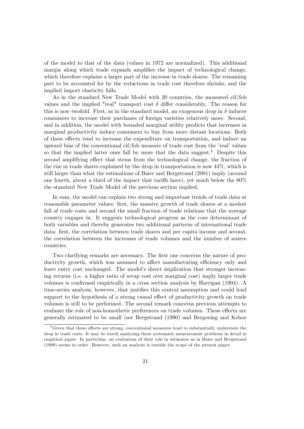of the model to that of the data (values in 1972 are normalized). This additional margin along which trade expands amplifies the impact of technological change. which therefore explains a larger part of the increase in trade shares. The remaining part to be accounted for by the reductions in trade cost therefore shrinks, and the implied import elasticity falls.

As in the standard New Trade Model with 20 countries, the measured cif/fob values and the implied "real" transport cost  $\delta$  differ considerably. The reason for this is now twofold. First, as in the standard model, an exogenous drop in  $\delta$  induces consumers to increase their purchases of foreign varieties relatively more. Second, and in addition, the model with bounded marginal utility predicts that increases in marginal productivity induce consumers to buy from more distant locations. Both of these effects tend to increase the expenditure on transportation, and induce an upward bias of the conventional  $\text{cif/fob}$  measure of trade cost from the 'real' values so that the implied latter ones fall by more that the data suggest.<sup>8</sup> Despite this second amplifying effect that stems from the technological change, the fraction of the rise in trade shares explained by the drop in transportation is now 44%, which is still larger than what the estimations of Baier and Bergstrand (2001) imply (around one fourth, about a third of the impact that tariffs have), yet much below the  $80\%$ the standard New Trade Model of the previous section implied.

In sum, the model can explain two strong and important trends of trade data at reasonable parameter values: first, the massive growth of trade shares at a modest fall of trade costs and second the small fraction of trade relations that the average country engages in. It suggests technological progress as the core determinant of both variables and thereby generates two additional patterns of international trade data: first, the correlation between trade shares and per capita income and second, the correlation between the increases of trade volumes and the number of source countries.

Two clarifying remarks are necessary. The first one concerns the nature of productivity growth, which was assumed to affect manufacturing efficiency only and leave entry cost unchanged. The model's direct implication that stronger increasing returns (i.e. a higher ratio of setup cost over marginal cost) imply larger trade volumes is confirmed empirically in a cross section analysis by Harrigan (1994). A time-series analysis, however, that justifies this central assumption and could lend support to the hypothesis of a strong causal effect of productivity growth on trade volumes is still to be performed. The second remark concerns previous attempts to evaluate the role of non-homothetic preferences on trade volumes. These effects are generally estimated to be small (see Bergstrand (1990) and Bergoeing and Kehoe

 ${}^{8}$ Given that these effects are strong, conventional measures tend to substantially understate the drop in trade costs. It may be worth analyzing these systematic measurement problems in detail in empirical paper. In particular, an evaluation of their role in estimates as in Baier and Bergstrand (1999) seems in order. However, such an analysis is outside the scope of the present paper.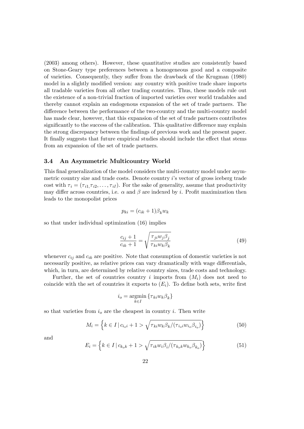(2003) among others). However, these quantitative studies are consistently based on Stone-Geary type preferences between a homogeneous good and a composite of varieties. Consequently, they suffer from the drawback of the Krugman (1980) model in a slightly modified version: any country with positive trade share imports all tradable varieties from all other trading countries. Thus, these models rule out the existence of a non-trivial fraction of imported varieties over world tradables and thereby cannot explain an endogenous expansion of the set of trade partners. The difference between the performance of the two-country and the multi-country model has made clear, however, that this expansion of the set of trade partners contributes significantly to the success of the calibration. This qualitative difference may explain the strong discrepancy between the Öndings of previous work and the present paper. It finally suggests that future empirical studies should include the effect that stems from an expansion of the set of trade partners.

#### 3.4 An Asymmetric Multicountry World

This final generalization of the model considers the multi-country model under asymmetric country size and trade costs. Denote country  $i$ 's vector of gross iceberg trade cost with  $\tau_i = (\tau_{i1}, \tau_{i2}, \dots, \tau_{iI})$ . For the sake of generality, assume that productivity may differ across countries, i.e.  $\alpha$  and  $\beta$  are indexed by i. Profit maximization then leads to the monopolist prices

$$
p_{ki} = (c_{ik} + 1)\beta_k w_k
$$

so that under individual optimization (16) implies

$$
\frac{c_{ij} + 1}{c_{ik} + 1} = \sqrt{\frac{\tau_{ji} w_j \beta_j}{\tau_{ki} w_k \beta_k}}
$$
(49)

whenever  $c_{ij}$  and  $c_{ik}$  are positive. Note that consumption of domestic varieties is not necessarily positive, as relative prices can vary dramatically with wage differentials, which, in turn, are determined by relative country sizes, trade costs and technology.

Further, the set of countries country i imports from  $(M_i)$  does not need to coincide with the set of countries it exports to  $(E_i)$ . To define both sets, write first

$$
i_o = \operatorname*{argmin}_{k \in I} \left\{ \tau_{ki} w_k \beta_k \right\}
$$

so that varieties from  $i<sub>o</sub>$  are the cheapest in country i. Then write

$$
M_i = \left\{ k \in I \, | \, c_{i_0 i} + 1 > \sqrt{\tau_{k i} w_k \beta_k / (\tau_{i_0 i} w_{i_0} \beta_{i_0})} \right\}
$$
(50)

and

$$
E_i = \left\{ k \in I \, | \, c_{k_o k} + 1 > \sqrt{\tau_{ik} w_i \beta_i / (\tau_{k_o k} w_{k_o} \beta_{k_o})} \right\}
$$
(51)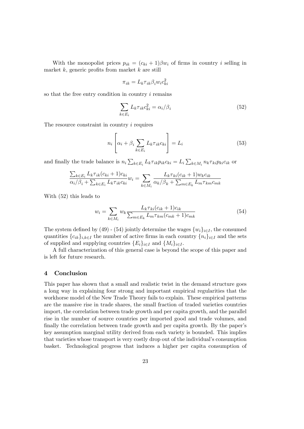With the monopolist prices  $p_{ik} = (c_{ki} + 1)\beta w_i$  of firms in country i selling in market  $k$ , generic profits from market  $k$  are still

$$
\pi_{ik} = L_k \tau_{ik} \beta_i w_i c_{ki}^2
$$

so that the free entry condition in country i remains

$$
\sum_{k \in E_i} L_k \tau_{ik} c_{ki}^2 = \alpha_i / \beta_i \tag{52}
$$

The resource constraint in country  $i$  requires

$$
n_i \left[ \alpha_i + \beta_i \sum_{k \in E_i} L_k \tau_{ik} c_{ki} \right] = L_i \tag{53}
$$

 $\overline{a}$ 

and finally the trade balance is  $n_i \sum_{k \in E_i} L_k \tau_{ik} p_{ik} c_{ki} = L_i \sum_{k \in M_i} n_k \tau_{ki} p_{ki} c_{ik}$  or

$$
\frac{\sum_{k \in E_i} L_k \tau_{ik}(c_{ki} + 1)c_{ki}}{\alpha_i/\beta_i + \sum_{k \in E_i} L_k \tau_{ik}c_{ki}} w_i = \sum_{k \in M_i} \frac{L_k \tau_{ki}(c_{ik} + 1)w_k c_{ik}}{\alpha_k/\beta_k + \sum_{m \in E_k} L_m \tau_{km}c_{mk}}
$$

With (52) this leads to

$$
w_i = \sum_{k \in M_i} w_k \frac{L_k \tau_{ki}(c_{ik} + 1)c_{ik}}{\sum_{m \in E_k} L_m \tau_{km}(c_{mk} + 1)c_{mk}}
$$
(54)

The system defined by (49) - (54) jointly determine the wages  $\{w_i\}_{i\in I}$ , the consumed quantities  ${c_{ik}}_{i,k\in I}$  the number of active firms in each country  ${n_i}_{i\in I}$  and the sets of supplied and supplying countries  $\{E_i\}_{i\in I}$  and  $\{M_i\}_{i\in I}$ .

A full characterization of this general case is beyond the scope of this paper and is left for future research.

#### 4 Conclusion

This paper has shown that a small and realistic twist in the demand structure goes a long way in explaining four strong and important empirical regularities that the workhorse model of the New Trade Theory fails to explain. These empirical patterns are the massive rise in trade shares, the small fraction of traded varieties countries import, the correlation between trade growth and per capita growth, and the parallel rise in the number of source countries per imported good and trade volumes, and finally the correlation between trade growth and per capita growth. By the paper's key assumption marginal utility derived from each variety is bounded. This implies that varieties whose transport is very costly drop out of the individual's consumption basket. Technological progress that induces a higher per capita consumption of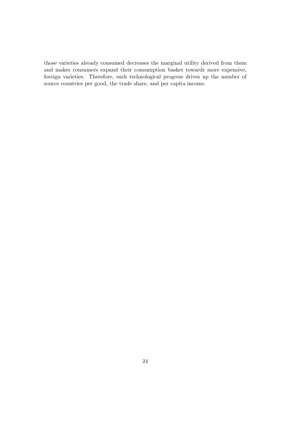those varieties already consumed decreases the marginal utility derived from them and makes consumers expand their consumption basket towards more expensive, foreign varieties. Therefore, such technological progress drives up the number of source countries per good, the trade share, and per capita income.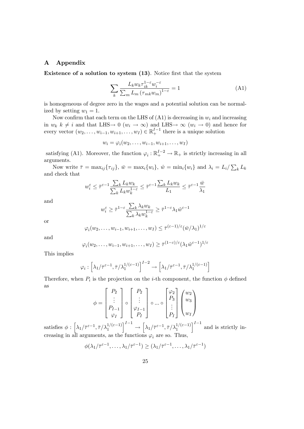#### A Appendix

Existence of a solution to system (13). Notice first that the system

$$
\sum_{k} \frac{L_k w_k \tau_{ik}^{1-\epsilon} w_i^{-\epsilon}}{\sum_{m} L_m \left(\tau_{mk} w_m\right)^{1-\epsilon}} = 1 \tag{A1}
$$

is homogeneous of degree zero in the wages and a potential solution can be normalized by setting  $w_1 = 1$ .

Now confirm that each term on the LHS of  $(A1)$  is decreasing in  $w_i$  and increasing in  $w_k$   $k \neq i$  and that LHS  $\rightarrow$  0  $(w_i \rightarrow \infty)$  and LHS  $\rightarrow \infty$   $(w_i \rightarrow 0)$  and hence for every vector  $(w_2, \ldots, w_{i-1}, w_{i+1}, \ldots, w_I) \in \mathbb{R}^{I-1}_+$  there is a unique solution

$$
w_i = \varphi_i(w_2, \ldots, w_{i-1}, w_{i+1}, \ldots, w_I)
$$

satisfying (A1). Moreover, the function  $\varphi_i : \mathbb{R}^{I-2}_+ \to \mathbb{R}_+$  is strictly increasing in all arguments.

Now write  $\bar{\tau} = \max_{ij} {\{\tau_{ij}\}}, \ \bar{w} = \max_{i} {w_i}, \ \hat{w} = \min_{i} {w_i} \}$  and  $\lambda_i = L_i / \sum_{k} L_k$ and check that

$$
w^{\varepsilon}_i \leq \bar \tau^{\varepsilon-1} \frac{\sum_k L_k w_k}{\sum_k L_k w_k^{1-\varepsilon}} \leq \bar \tau^{\varepsilon-1} \frac{\sum_k L_k w_k}{L_1} \leq \bar \tau^{\varepsilon-1} \frac{\bar w}{\lambda_1}
$$

and

$$
w^{\varepsilon}_{i}\geq\bar{\tau}^{1-\varepsilon}\frac{\sum_{k}\lambda_{k}w_{k}}{\sum_{k}\lambda_{k}w_{k}^{1-\varepsilon}}\geq\bar{\tau}^{1-\varepsilon}\lambda_{1}\hat{w}^{\varepsilon-1}
$$

or

$$
\varphi_i(w_2,\ldots,w_{i-1},w_{i+1},\ldots,w_I) \leq \overline{\tau}^{(\varepsilon-1)/\varepsilon}(\overline{w}/\lambda_1)^{1/\varepsilon}
$$

and

$$
\varphi_i(w_2,\ldots,w_{i-1},w_{i+1},\ldots,w_I) \geq \overline{\tau}^{(1-\varepsilon)/\varepsilon} (\lambda_1 \hat{w}^{\varepsilon-1})^{1/\varepsilon}
$$

This implies

$$
\varphi_i : \left[ \lambda_1 / \bar{\tau}^{\varepsilon - 1}, \bar{\tau} / \lambda_1^{1/(\varepsilon - 1)} \right]^{I - 2} \to \left[ \lambda_1 / \bar{\tau}^{\varepsilon - 1}, \bar{\tau} / \lambda_1^{1/(\varepsilon - 1)} \right]
$$

Therefore, when  $P_i$  is the projection on the *i*-th component, the function  $\phi$  defined as  $\mathbf{r}$ 

$$
\phi = \begin{bmatrix} P_2 \\ \vdots \\ P_{I-1} \\ \varphi_I \end{bmatrix} \circ \begin{bmatrix} P_2 \\ \vdots \\ \varphi_{I-1} \\ P_I \end{bmatrix} \circ \dots \circ \begin{bmatrix} \varphi_2 \\ P_3 \\ \vdots \\ P_I \end{bmatrix} \begin{pmatrix} w_2 \\ w_3 \\ \vdots \\ w_I \end{pmatrix}
$$

satisfies  $\phi : \left[ \lambda_1 / \bar{\tau}^{\varepsilon - 1}, \bar{\tau} / \lambda_1^{1/(\varepsilon - 1)} \right]$  $l^{-1}$  $\rightarrow$  $\Big[\lambda_1/\bar{\tau}^{\varepsilon - 1}, \bar{\tau}/\lambda_1^{1/(\varepsilon - 1)}$  $\int_0^{I-1}$  and is strictly increasing in all arguments, as the functions  $\varphi_i$  are so. Thus,

$$
\phi(\lambda_1/\bar{\tau}^{\varepsilon-1},\ldots,\lambda_1/\bar{\tau}^{\varepsilon-1}) \geq (\lambda_1/\bar{\tau}^{\varepsilon-1},\ldots,\lambda_1/\bar{\tau}^{\varepsilon-1})
$$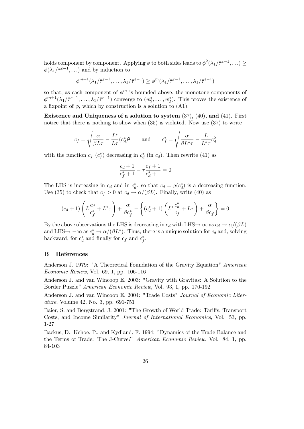holds component by component. Applying  $\phi$  to both sides leads to  $\phi^2(\lambda_1/\bar{\tau}^{\varepsilon-1},\ldots) \ge$  $\phi(\lambda_1/\bar{\tau}^{\varepsilon-1},\ldots)$  and by induction to

$$
\phi^{m+1}(\lambda_1/\bar{\tau}^{\varepsilon-1},\ldots,\lambda_1/\bar{\tau}^{\varepsilon-1}) \geq \phi^m(\lambda_1/\bar{\tau}^{\varepsilon-1},\ldots,\lambda_1/\bar{\tau}^{\varepsilon-1})
$$

so that, as each component of  $\phi^m$  is bounded above, the monotone components of  $\phi^{m+1}(\lambda_1/\bar{\tau}^{\varepsilon-1},\ldots,\lambda_1/\bar{\tau}^{\varepsilon-1})$  converge to  $(w_2^*,\ldots,w_I^*)$ . This proves the existence of a fixpoint of  $\phi$ , which by construction is a solution to (A1).

Existence and Uniqueness of a solution to system (37), (40), and (41). First notice that there is nothing to show when  $(35)$  is violated. Now use  $(37)$  to write

$$
c_f = \sqrt{\frac{\alpha}{\beta L \tau} - \frac{L^*}{L \tau} (c_d^*)^2} \quad \text{and} \quad c_f^* = \sqrt{\frac{\alpha}{\beta L^* \tau} - \frac{L}{L^* \tau} c_d^2}
$$

with the function  $c_f$   $(c_f^*)$  decreasing in  $c_d^*$  (in  $c_d$ ). Then rewrite (41) as

$$
\frac{c_d+1}{c_f^*+1} - \tau \frac{c_f+1}{c_d^*+1} = 0
$$

The LHS is increasing in  $c_d$  and in  $c_d^*$ , so that  $c_d = g(c_d^*)$  is a decreasing function. Use (35) to check that  $c_f > 0$  at  $c_d \rightarrow \alpha/(\beta L)$ . Finally, write (40) as

$$
(c_d+1)\left(L\frac{c_d}{c_f^*}+L^*\tau\right)+\frac{\alpha}{\beta c_f^*}-\left\{(c_d^*+1)\left(L^*\frac{c_d^*}{c_f}+L\tau\right)+\frac{\alpha}{\beta c_f}\right\}=0
$$

By the above observations the LHS is decreasing in  $c_d$  with LHS $\rightarrow \infty$  as  $c_d \rightarrow \alpha/(\beta L)$ and LHS $\rightarrow -\infty$  as  $c_d^* \rightarrow \alpha/(\beta L^*)$ . Thus, there is a unique solution for  $c_d$  and, solving backward, for  $c_d^*$  and finally for  $c_f$  and  $c_f^*$ .

#### B References

Anderson J. 1979: "A Theoretical Foundation of the Gravity Equation" American Economic Review, Vol. 69, 1, pp. 106-116

Anderson J. and van Wincoop E. 2003: "Gravity with Gravitas: A Solution to the Border Puzzle" American Economic Review, Vol. 93, 1, pp. 170-192

Anderson J. and van Wincoop E. 2004: "Trade Costs" Journal of Economic Literature, Volume 42, No. 3, pp. 691-751

Baier, S. and Bergstrand, J. 2001: "The Growth of World Trade: Tariffs, Transport Costs, and Income Similarity" Journal of International Economics, Vol. 53, pp. 1-27

Backus, D., Kehoe, P., and Kydland, F. 1994: "Dynamics of the Trade Balance and the Terms of Trade: The J-Curve?" American Economic Review, Vol. 84, 1, pp. 84-103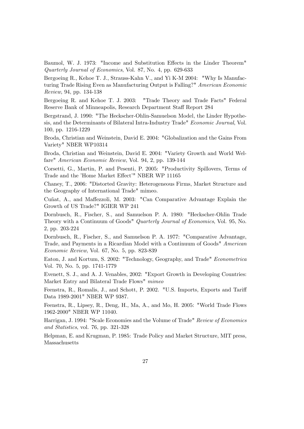Baumol, W. J. 1973: "Income and Substitution Effects in the Linder Theorem" Quarterly Journal of Economics, Vol. 87, No. 4, pp. 629-633

Bergoeing R., Kehoe T. J., Strauss-Kahn V., and Yi K-M 2004: "Why Is Manufacturing Trade Rising Even as Manufacturing Output is Falling?" American Economic Review, 94, pp. 134-138

Bergoeing R. and Kehoe T. J. 2003: "Trade Theory and Trade Facts" Federal Reserve Bank of Minneapolis, Research Department Staff Report 284

Bergstrand, J. 1990: "The Heckscher-Ohlin-Samuelson Model, the Linder Hypothesis, and the Determinants of Bilateral Intra-Industry Trade" Economic Journal, Vol. 100, pp. 1216-1229

Broda, Christian and Weinstein, David E. 2004: "Globalization and the Gains From Variety" NBER WP10314

Broda, Christian and Weinstein, David E. 2004: "Variety Growth and World Welfare" American Economic Review, Vol. 94, 2, pp. 139-144

Corsetti, G., Martin, P. and Pesenti, P. 2005: "Productivity Spillovers, Terms of Trade and the 'Home Market Effect'" NBER WP 11165

Chaney, T., 2006: "Distorted Gravity: Heterogeneous Firms, Market Structure and the Geography of International Trade" mimeo.

Cuñat, A., and Maffezzoli, M. 2003: "Can Comparative Advantage Explain the Growth of US Trade?" IGIER WP 241

Dornbusch, R., Fischer, S., and Samuelson P. A. 1980: "Heckscher-Ohlin Trade Theory with a Continuum of Goods" Quarterly Journal of Economics, Vol. 95, No. 2, pp. 203-224

Dornbusch, R., Fischer, S., and Samuelson P. A. 1977: "Comparative Advantage, Trade, and Payments in a Ricardian Model with a Continuum of Goods" American Economic Review, Vol. 67, No. 5, pp. 823-839

Eaton, J. and Kortum, S. 2002: "Technology, Geography, and Trade" Econometrica Vol. 70, No. 5, pp. 1741-1779

Evenett, S. J., and A. J. Venables, 2002: "Export Growth in Developing Countries: Market Entry and Bilateral Trade Flows" mimeo

Feenstra, R., Romalis, J., and Schott, P. 2002. "U.S. Imports, Exports and Tariff Data 1989-2001" NBER WP 9387.

Feenstra, R., Lipsey, R., Deng, H., Ma, A., and Mo, H. 2005: "World Trade Flows 1962-2000" NBER WP 11040.

Harrigan, J. 1994: "Scale Economies and the Volume of Trade" Review of Economics and Statistics, vol. 76, pp. 321-328

Helpman, E. and Krugman, P. 1985: Trade Policy and Market Structure, MIT press, Massachusetts